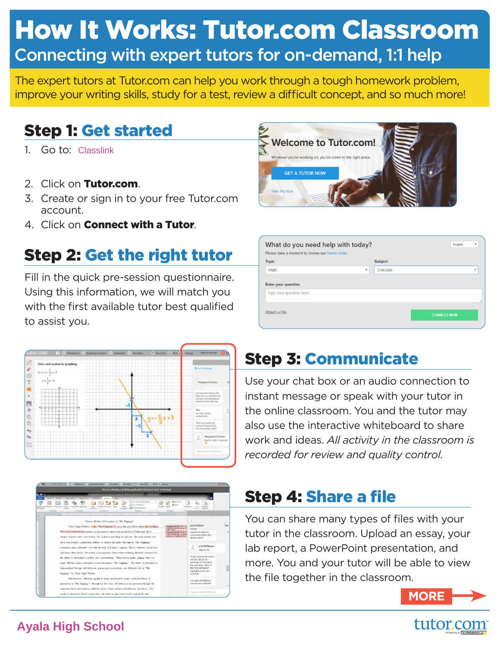# How It Works: Tutor.com Classroom Connecting with expert tutors for on-demand, 1:1 help

The expert tutors at Tutor.com can help you work through a tough homework problem, improve your writing skills, study for a test, review a difficult concept, and so much more!

## Step 1: Get started

- 1. Go to: Classlink
- 2. Click on Tutor.com.
- 3. Create or sign in to your free Tutor.com account.
- 4. Click on Connect with a Tutor.

## Step 2: Get the right tutor

Fill in the quick pre-session questionnaire. Using this information, we will match you with the first available tutor best qualified to assist you.







| What do you need help with today?<br>Please take a moment to review our honor code. |                           |                |  | v<br><b>English</b>     |
|-------------------------------------------------------------------------------------|---------------------------|----------------|--|-------------------------|
| <b>Topic</b>                                                                        |                           | <b>Subject</b> |  |                         |
|                                                                                     |                           |                |  |                         |
| Math                                                                                | $\boldsymbol{\mathrm{v}}$ | Calculus       |  | $\overline{\mathbf{v}}$ |
| <b>Enter your question</b><br>Type your question here.                              |                           |                |  |                         |

# Step 3: Communicate

Use your chat box or an audio connection to instant message or speak with your tutor in the online classroom. You and the tutor may also use the interactive whiteboard to share work and ideas. *All activity in the classroom is recorded for review and quality control.*

## Step 4: Share a file

You can share many types of files with your tutor in the classroom. Upload an essay, your lab report, a PowerPoint presentation, and more. You and your tutor will be able to view the file together in the classroom.



#### **Ayala High School**

in a "The Diggings." Throughout the stary, self-delucions are pre aracters fierd and Joshua in different forms. Some of these self-delutions are Smol's. The .<br>An Touch companies the desire to min other to be a most His and

# tutor.com